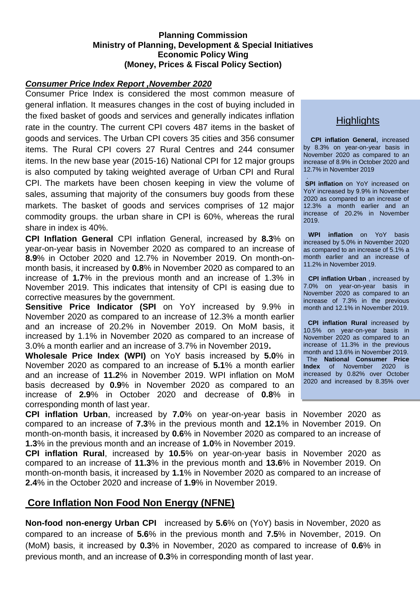### **Planning Commission Ministry of Planning, Development & Special Initiatives Economic Policy Wing (Money, Prices & Fiscal Policy Section)**

#### *Consumer Price Index Report ,November 2020*

Consumer Price Index is considered the most common measure of general inflation. It measures changes in the cost of buying included in the fixed basket of goods and services and generally indicates inflation rate in the country. The current CPI covers 487 items in the basket of goods and services. The Urban CPI covers 35 cities and 356 consumer items. The Rural CPI covers 27 Rural Centres and 244 consumer items. In the new base year (2015-16) National CPI for 12 major groups is also computed by taking weighted average of Urban CPI and Rural CPI. The markets have been chosen keeping in view the volume of sales, assuming that majority of the consumers buy goods from these markets. The basket of goods and services comprises of 12 major commodity groups. the urban share in CPI is 60%, whereas the rural share in index is 40%.

**CPI Inflation General** CPI inflation General, increased by **8.3**% on year-on-year basis in November 2020 as compared to an increase of **8.9**% in October 2020 and 12.7% in November 2019. On month-onmonth basis, it increased by **0.8**% in November 2020 as compared to an increase of **1.7**% in the previous month and an increase of 1.3% in November 2019. This indicates that intensity of CPI is easing due to corrective measures by the government.

**Sensitive Price Indicator (SPI** on YoY increased by 9.9% in November 2020 as compared to an increase of 12.3% a month earlier and an increase of 20.2% in November 2019. On MoM basis, it increased by 1.1% in November 2020 as compared to an increase of 3.0% a month earlier and an increase of 3.7% in November 2019**.** 

**Wholesale Price Index (WPI)** on YoY basis increased by **5.0**% in November 2020 as compared to an increase of **5.1**% a month earlier and an increase of **11.2**% in November 2019. WPI inflation on MoM basis decreased by **0.9**% in November 2020 as compared to an increase of **2.9**% in October 2020 and decrease of **0.8**% in corresponding month of last year.

# **Highlights**

**CPI inflation General**, increased by 8.3% on year-on-year basis in November 2020 as compared to an increase of 8.9% in October 2020 and 12.7% in November 2019

. **SPI inflation** on YoY increased on YoY increased by 9.9% in November 2020 as compared to an increase of 12.3% a month earlier and an increase of 20.2% in November 2019.

**WPI inflation** on YoY basis increased by 5.0% in November 2020 as compared to an increase of 5.1% a month earlier and an increase of 11.2% in November 2019.

**CPI inflation Urban** , increased by 7.0% on year-on-year basis in November 2020 as compared to an increase of 7.3% in the previous month and 12.1% in November 2019.

**CPI inflation Rural increased by** 10.5% on year-on-year basis in November 2020 as compared to an increase of 11.3% in the previous month and 13.6% in November 2019. The **National Consumer Price Index** of November 2020 is increased by 0.82% over October 2020 and increased by 8.35% over

**CPI inflation Urban**, increased by **7.0**% on year-on-year basis in November 2020 as compared to an increase of **7.3**% in the previous month and **12.1**% in November 2019. On month-on-month basis, it increased by **0.6**% in November 2020 as compared to an increase of **1.3**% in the previous month and an increase of **1.0**% in November 2019.

**CPI inflation Rural**, increased by **10.5**% on year-on-year basis in November 2020 as compared to an increase of **11.3**% in the previous month and **13.6**% in November 2019. On month-on-month basis, it increased by **1.1**% in November 2020 as compared to an increase of **2.4**% in the October 2020 and increase of **1.9**% in November 2019.

# **Core Inflation Non Food Non Energy (NFNE)**

**Non-food non-energy Urban CPI** increased by **5.6**% on (YoY) basis in November, 2020 as compared to an increase of **5.6**% in the previous month and **7.5**% in November, 2019. On (MoM) basis, it increased by **0.3**% in November, 2020 as compared to increase of **0.6**% in previous month, and an increase of **0.3**% in corresponding month of last year.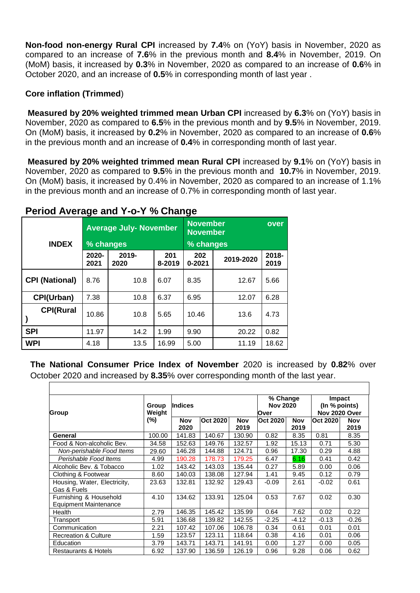**Non-food non-energy Rural CPI** increased by **7.4**% on (YoY) basis in November, 2020 as compared to an increase of **7.6**% in the previous month and **8.4**% in November, 2019. On (MoM) basis, it increased by **0.3**% in November, 2020 as compared to an increase of **0.6**% in October 2020, and an increase of **0.5**% in corresponding month of last year .

#### **Core inflation (Trimmed**)

**Measured by 20% weighted trimmed mean Urban CPI** increased by **6.3**% on (YoY) basis in November, 2020 as compared to **6.5**% in the previous month and by **9.5**% in November, 2019. On (MoM) basis, it increased by **0.2**% in November, 2020 as compared to an increase of **0.6**% in the previous month and an increase of **0.4**% in corresponding month of last year.

**Measured by 20% weighted trimmed mean Rural CPI** increased by **9.1**% on (YoY) basis in November, 2020 as compared to **9.5**% in the previous month and **10.7**% in November, 2019. On (MoM) basis, it increased by 0.4% in November, 2020 as compared to an increase of 1.1% in the previous month and an increase of 0.7% in corresponding month of last year.

| $1$ onour <i>i</i> views and i or in <i>the oneing</i> |               |                               |               |                                    |           |               |  |  |
|--------------------------------------------------------|---------------|-------------------------------|---------------|------------------------------------|-----------|---------------|--|--|
|                                                        |               | <b>Average July- November</b> |               | <b>November</b><br><b>November</b> | over      |               |  |  |
| <b>INDEX</b>                                           | % changes     |                               |               | % changes                          |           |               |  |  |
|                                                        | 2020-<br>2021 | 2019-<br>2020                 | 201<br>8-2019 | 202<br>$0 - 2021$                  | 2019-2020 | 2018-<br>2019 |  |  |
| <b>CPI (National)</b>                                  | 8.76          | 10.8                          | 6.07          | 8.35                               | 12.67     | 5.66          |  |  |
| CPI(Urban)                                             | 7.38          | 10.8                          | 6.37          | 6.95                               | 12.07     | 6.28          |  |  |
| <b>CPI(Rural</b>                                       | 10.86         | 10.8                          | 5.65          | 10.46                              | 13.6      | 4.73          |  |  |
| <b>SPI</b>                                             | 11.97         | 14.2                          | 1.99          | 9.90                               | 20.22     | 0.82          |  |  |
| <b>WPI</b>                                             | 4.18          | 13.5                          | 16.99         | 5.00                               | 11.19     | 18.62         |  |  |

## **Period Average and Y-o-Y % Change**

**The National Consumer Price Index of November** 2020 is increased by **0.82**% over October 2020 and increased by **8.35**% over corresponding month of the last year.

|                                 |                           |                |                 |            | % Change        |            | Impact        |            |
|---------------------------------|---------------------------|----------------|-----------------|------------|-----------------|------------|---------------|------------|
|                                 | Group<br>Weight<br>$(\%)$ | <b>Indices</b> |                 |            | <b>Nov 2020</b> |            | (In % points) |            |
| Group                           |                           |                |                 |            | Over            |            | Nov 2020 Over |            |
|                                 |                           | <b>Nov</b>     | <b>Oct 2020</b> | <b>Nov</b> | <b>Oct 2020</b> | <b>Nov</b> | Oct 2020      | <b>Nov</b> |
|                                 |                           | 2020           |                 | 2019       |                 | 2019       |               | 2019       |
| General                         | 100.00                    | 141.83         | 140.67          | 130.90     | 0.82            | 8.35       | 0.81          | 8.35       |
| Food & Non-alcoholic Bev.       | 34.58                     | 152.63         | 149.76          | 132.57     | 1.92            | 15.13      | 0.71          | 5.30       |
| Non-perishable Food Items       | 29.60                     | 146.28         | 144.88          | 124.71     | 0.96            | 17.30      | 0.29          | 4.88       |
| Perishable Food Items           | 4.99                      | 190.28         | 178.73          | 179.25     | 6.47            | 6.16       | 0.41          | 0.42       |
| Alcoholic Bev. & Tobacco        | 1.02                      | 143.42         | 143.03          | 135.44     | 0.27            | 5.89       | 0.00          | 0.06       |
| Clothing & Footwear             | 8.60                      | 140.03         | 138.08          | 127.94     | 1.41            | 9.45       | 0.12          | 0.79       |
| Housing, Water, Electricity,    | 23.63                     | 132.81         | 132.92          | 129.43     | -0.09           | 2.61       | $-0.02$       | 0.61       |
| Gas & Fuels                     |                           |                |                 |            |                 |            |               |            |
| Furnishing & Household          | 4.10                      | 134.62         | 133.91          | 125.04     | 0.53            | 7.67       | 0.02          | 0.30       |
| Equipment Maintenance           |                           |                |                 |            |                 |            |               |            |
| Health                          | 2.79                      | 146.35         | 145.42          | 135.99     | 0.64            | 7.62       | 0.02          | 0.22       |
| Transport                       | 5.91                      | 136.68         | 139.82          | 142.55     | $-2.25$         | $-4.12$    | $-0.13$       | $-0.26$    |
| Communication                   | 2.21                      | 107.42         | 107.06          | 106.78     | 0.34            | 0.61       | 0.01          | 0.01       |
| <b>Recreation &amp; Culture</b> | 1.59                      | 123.57         | 123.11          | 118.64     | 0.38            | 4.16       | 0.01          | 0.06       |
| Education                       | 3.79                      | 143.71         | 143.71          | 141.91     | 0.00            | 1.27       | 0.00          | 0.05       |
| <b>Restaurants &amp; Hotels</b> | 6.92                      | 137.90         | 136.59          | 126.19     | 0.96            | 9.28       | 0.06          | 0.62       |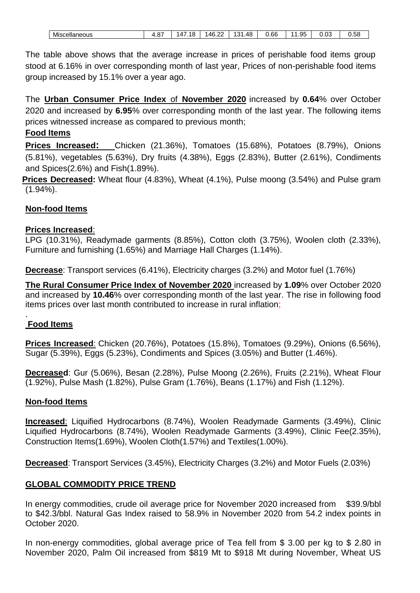| Miscellaneous |
|---------------|
|               |

The table above shows that the average increase in prices of perishable food items group stood at 6.16% in over corresponding month of last year, Prices of non-perishable food items group increased by 15.1% over a year ago.

The **Urban Consumer Price Index** of **November 2020** increased by **0.64**% over October 2020 and increased by **6.95**% over corresponding month of the last year. The following items prices witnessed increase as compared to previous month;

### **Food Items**

**Prices Increased:** Chicken (21.36%), Tomatoes (15.68%), Potatoes (8.79%), Onions (5.81%), vegetables (5.63%), Dry fruits (4.38%), Eggs (2.83%), Butter (2.61%), Condiments and Spices(2.6%) and Fish(1.89%).

**Prices Decreased:** Wheat flour (4.83%), Wheat (4.1%), Pulse moong (3.54%) and Pulse gram (1.94%).

### **Non-food Items**

#### **Prices Increased**:

LPG (10.31%), Readymade garments (8.85%), Cotton cloth (3.75%), Woolen cloth (2.33%), Furniture and furnishing (1.65%) and Marriage Hall Charges (1.14%).

**Decrease**: Transport services (6.41%), Electricity charges (3.2%) and Motor fuel (1.76%)

**The Rural Consumer Price Index of November 2020** increased by **1.09**% over October 2020 and increased by **10.46**% over corresponding month of the last year. The rise in following food items prices over last month contributed to increase in rural inflation;

#### . **Food Items**

**Prices Increased**: Chicken (20.76%), Potatoes (15.8%), Tomatoes (9.29%), Onions (6.56%), Sugar (5.39%), Eggs (5.23%), Condiments and Spices (3.05%) and Butter (1.46%).

**Decreased**: Gur (5.06%), Besan (2.28%), Pulse Moong (2.26%), Fruits (2.21%), Wheat Flour (1.92%), Pulse Mash (1.82%), Pulse Gram (1.76%), Beans (1.17%) and Fish (1.12%).

#### **Non-food Items**

**Increased**: Liquified Hydrocarbons (8.74%), Woolen Readymade Garments (3.49%), Clinic Liquified Hydrocarbons (8.74%), Woolen Readymade Garments (3.49%), Clinic Fee(2.35%), Construction Items(1.69%), Woolen Cloth(1.57%) and Textiles(1.00%).

**Decreased**: Transport Services (3.45%), Electricity Charges (3.2%) and Motor Fuels (2.03%)

### **GLOBAL COMMODITY PRICE TREND**

In energy commodities, crude oil average price for November 2020 increased from \$39.9/bbl to \$42.3/bbl. Natural Gas Index raised to 58.9% in November 2020 from 54.2 index points in October 2020.

In non-energy commodities, global average price of Tea fell from \$ 3.00 per kg to \$ 2.80 in November 2020, Palm Oil increased from \$819 Mt to \$918 Mt during November, Wheat US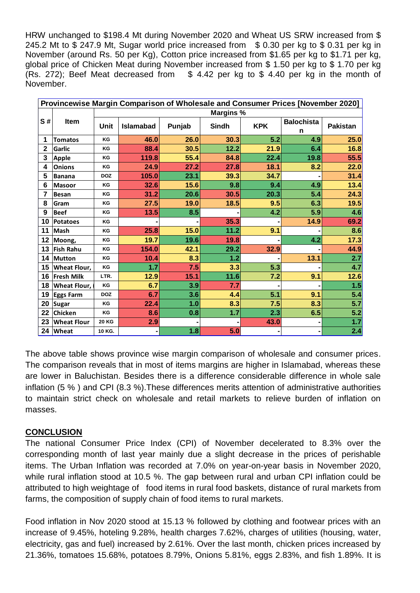HRW unchanged to \$198.4 Mt during November 2020 and Wheat US SRW increased from \$ 245.2 Mt to \$ 247.9 Mt, Sugar world price increased from \$ 0.30 per kg to \$ 0.31 per kg in November (around Rs. 50 per Kg), Cotton price increased from \$1.65 per kg to \$1.71 per kg, global price of Chicken Meat during November increased from \$ 1.50 per kg to \$ 1.70 per kg (Rs. 272); Beef Meat decreased from \$ 4.42 per kg to \$ 4.40 per kg in the month of November.

| Provincewise Margin Comparison of Wholesale and Consumer Prices [November 2020] |                     |                  |                  |        |       |            |                        |                 |  |  |
|---------------------------------------------------------------------------------|---------------------|------------------|------------------|--------|-------|------------|------------------------|-----------------|--|--|
|                                                                                 | Item                | <b>Margins %</b> |                  |        |       |            |                        |                 |  |  |
| S#                                                                              |                     | <b>Unit</b>      | <b>Islamabad</b> | Punjab | Sindh | <b>KPK</b> | <b>Balochista</b><br>n | <b>Pakistan</b> |  |  |
| 1                                                                               | <b>Tomatos</b>      | KG               | 46.0             | 26.0   | 30.3  | 5.2        | 4.9                    | 25.0            |  |  |
| 2                                                                               | Garlic              | KG               | 88.4             | 30.5   | 12.2  | 21.9       | 6.4                    | 16.8            |  |  |
| 3                                                                               | Apple               | KG               | 119.8            | 55.4   | 84.8  | 22.4       | 19.8                   | 55.5            |  |  |
| 4                                                                               | <b>Onions</b>       | KG               | 24.9             | 27.2   | 27.8  | 18.1       | 8.2                    | 22.0            |  |  |
| 5                                                                               | <b>Banana</b>       | <b>DOZ</b>       | 105.0            | 23.1   | 39.3  | 34.7       |                        | 31.4            |  |  |
| 6                                                                               | <b>Masoor</b>       | KG               | 32.6             | 15.6   | 9.8   | 9.4        | 4.9                    | 13.4            |  |  |
| 7                                                                               | <b>Besan</b>        | KG               | 31.2             | 20.6   | 30.5  | 20.3       | 5.4                    | 24.3            |  |  |
| 8                                                                               | Gram                | KG               | 27.5             | 19.0   | 18.5  | 9.5        | 6.3                    | 19.5            |  |  |
| 9                                                                               | <b>Beef</b>         | KG               | 13.5             | 8.5    |       | 4.2        | 5.9                    | 4.6             |  |  |
| 10                                                                              | <b>Potatoes</b>     | KG               |                  |        | 35.3  |            | 14.9                   | 69.2            |  |  |
| 11                                                                              | <b>Mash</b>         | KG               | 25.8             | 15.0   | 11.2  | 9.1        |                        | 8.6             |  |  |
| 12                                                                              | Moong,              | KG               | 19.7             | 19.6   | 19.8  |            | 4.2                    | 17.3            |  |  |
| 13                                                                              | <b>Fish Rahu</b>    | KG               | 154.0            | 42.1   | 29.2  | 32.9       |                        | 44.9            |  |  |
| 14                                                                              | <b>Mutton</b>       | KG               | 10.4             | 8.3    | 1.2   |            | 13.1                   | 2.7             |  |  |
| 15                                                                              | <b>Wheat Flour,</b> | KG               | 1.7              | 7.5    | 3.3   | 5.3        |                        | 4.7             |  |  |
| 16                                                                              | <b>Fresh Milk</b>   | LTR.             | 12.9             | 15.1   | 11.6  | 7.2        | 9.1                    | 12.6            |  |  |
| 18                                                                              | Wheat Flour.        | KG               | 6.7              | 3.9    | 7.7   |            |                        | 1.5             |  |  |
| 19                                                                              | <b>Eggs Farm</b>    | <b>DOZ</b>       | 6.7              | 3.6    | 4.4   | 5.1        | 9.1                    | 5.4             |  |  |
| 20                                                                              | Sugar               | KG               | 22.4             | 1.0    | 8.3   | 7.5        | 8.3                    | 5.7             |  |  |
| 22                                                                              | Chicken             | KG               | 8.6              | 0.8    | 1.7   | 2.3        | 6.5                    | 5.2             |  |  |
| 23                                                                              | <b>Wheat Flour</b>  | <b>20 KG</b>     | 2.9              |        |       | 43.0       | $\blacksquare$         | 1.7             |  |  |
| 24                                                                              | <b>Wheat</b>        | 10 KG.           |                  | 1.8    | 5.0   |            |                        | 2.4             |  |  |

The above table shows province wise margin comparison of wholesale and consumer prices. The comparison reveals that in most of items margins are higher in Islamabad, whereas these are lower in Baluchistan. Besides there is a difference considerable difference in whole sale inflation (5 % ) and CPI (8.3 %).These differences merits attention of administrative authorities to maintain strict check on wholesale and retail markets to relieve burden of inflation on masses.

#### **CONCLUSION**

The national Consumer Price Index (CPI) of November decelerated to 8.3% over the corresponding month of last year mainly due a slight decrease in the prices of perishable items. The Urban Inflation was recorded at 7.0% on year-on-year basis in November 2020, while rural inflation stood at 10.5 %. The gap between rural and urban CPI inflation could be attributed to high weightage of food items in rural food baskets, distance of rural markets from farms, the composition of supply chain of food items to rural markets.

Food inflation in Nov 2020 stood at 15.13 % followed by clothing and footwear prices with an increase of 9.45%, hoteling 9.28%, health charges 7.62%, charges of utilities (housing, water, electricity, gas and fuel) increased by 2.61%. Over the last month, chicken prices increased by 21.36%, tomatoes 15.68%, potatoes 8.79%, Onions 5.81%, eggs 2.83%, and fish 1.89%. It is